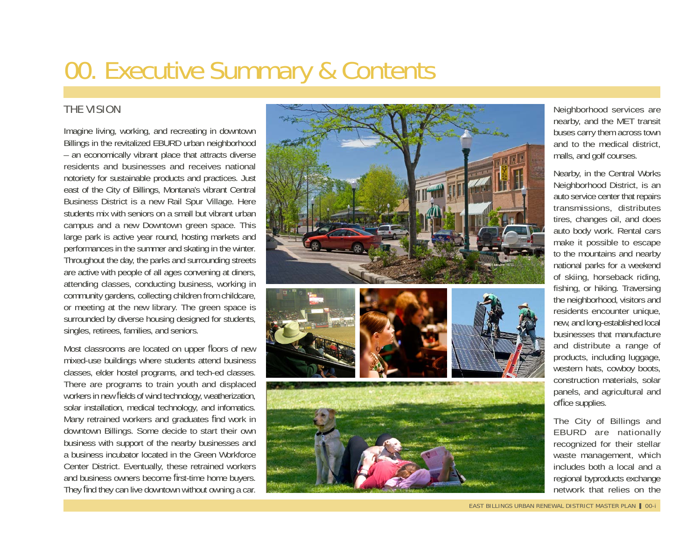# 00. Executive Summary & Contents

## THE VISION

Imagine living, working, and recreating in downtown Billings in the revitalized EBURD urban neighborhood – an economically vibrant place that attracts diverse residents and businesses and receives national notoriety for sustainable products and practices. Just east of the City of Billings, Montana's vibrant Central Business District is a new Rail Spur Village. Here students mix with seniors on a small but vibrant urban campus and a new Downtown green space. This large park is active year round, hosting markets and performances in the summer and skating in the winter. Throughout the day, the parks and surrounding streets are active with people of all ages convening at diners, attending classes, conducting business, working in community gardens, collecting children from childcare, or meeting at the new library. The green space is surrounded by diverse housing designed for students, singles, retirees, families, and seniors.

Most classrooms are located on upper floors of new mixed-use buildings where students attend business classes, elder hostel programs, and tech-ed classes. There are programs to train youth and displaced workers in new fields of wind technology, weatherization, solar installation, medical technology, and infomatics. Many retrained workers and graduates find work in downtown Billings. Some decide to start their own business with support of the nearby businesses and a business incubator located in the Green Workforce Center District. Eventually, these retrained workers and business owners become first-time home buyers. They find they can live downtown without owning a car.



Neighborhood services are nearby, and the MET transit buses carry them across town and to the medical district, malls, and golf courses.

Nearby, in the Central Works Neighborhood District, is an auto service center that repairs transmissions, distributes tires, changes oil, and does auto body work. Rental cars make it possible to escape to the mountains and nearby national parks for a weekend of skiing, horseback riding, fishing, or hiking. Traversing the neighborhood, visitors and residents encounter unique, new, and long-established local businesses that manufacture and distribute a range of products, including luggage, western hats, cowboy boots, construction materials, solar panels, and agricultural and office supplies.

The City of Billings and EBURD are nationally recognized for their stellar waste management, which includes both a local and a regional byproducts exchange network that relies on the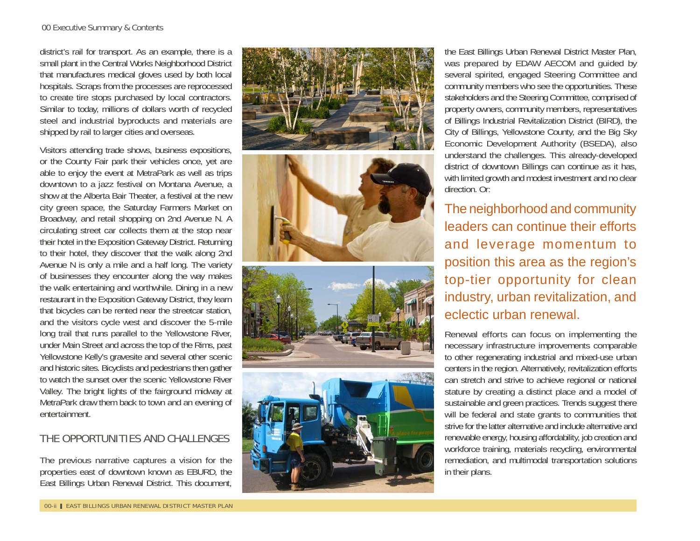district's rail for transport. As an example, there is a small plant in the Central Works Neighborhood District that manufactures medical gloves used by both local hospitals. Scraps from the processes are reprocessed to create tire stops purchased by local contractors. Similar to today, millions of dollars worth of recycled steel and industrial byproducts and materials are shipped by rail to larger cities and overseas.

Visitors attending trade shows, business expositions, or the County Fair park their vehicles once, yet are able to enjoy the event at MetraPark as well as trips downtown to a jazz festival on Montana Avenue, a show at the Alberta Bair Theater, a festival at the new city green space, the Saturday Farmers Market on Broadway, and retail shopping on 2nd Avenue N. A circulating street car collects them at the stop near their hotel in the Exposition Gateway District. Returning to their hotel, they discover that the walk along 2nd Avenue N is only a mile and a half long. The variety of businesses they encounter along the way makes the walk entertaining and worthwhile. Dining in a new restaurant in the Exposition Gateway District, they learn that bicycles can be rented near the streetcar station, and the visitors cycle west and discover the 5-mile long trail that runs parallel to the Yellowstone River, under Main Street and across the top of the Rims, past Yellowstone Kelly's gravesite and several other scenic and historic sites. Bicyclists and pedestrians then gather to watch the sunset over the scenic Yellowstone River Valley. The bright lights of the fairground midway at MetraPark draw them back to town and an evening of entertainment.

## THE OPPORTUNITIES AND CHALLENGES

The previous narrative captures a vision for the properties east of downtown known as EBURD, the East Billings Urban Renewal District. This document,









the East Billings Urban Renewal District Master Plan, was prepared by EDAW AECOM and guided by several spirited, engaged Steering Committee and community members who see the opportunities. These stakeholders and the Steering Committee, comprised of property owners, community members, representatives of Billings Industrial Revitalization District (BIRD), the City of Billings, Yellowstone County, and the Big Sky Economic Development Authority (BSEDA), also understand the challenges. This already-developed district of downtown Billings can continue as it has, with limited growth and modest investment and no clear direction. Or:

The neighborhood and community leaders can continue their efforts and leverage momentum to position this area as the region's top-tier opportunity for clean industry, urban revitalization, and eclectic urban renewal.

Renewal efforts can focus on implementing the necessary infrastructure improvements comparable to other regenerating industrial and mixed-use urban centers in the region. Alternatively, revitalization efforts can stretch and strive to achieve regional or national stature by creating a distinct place and a model of sustainable and green practices. Trends suggest there will be federal and state grants to communities that strive for the latter alternative and include alternative and renewable energy, housing affordability, job creation and workforce training, materials recycling, environmental remediation, and multimodal transportation solutions in their plans.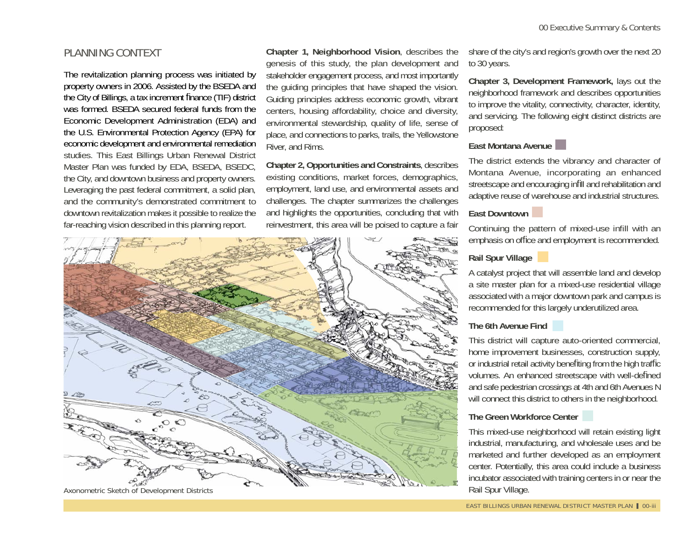## PLANNING CONTEXT

The revitalization planning process was initiated by property owners in 2006. Assisted by the BSEDA and the City of Billings, a tax increment finance (TIF) district was formed. BSEDA secured federal funds from the Economic Development Administration (EDA) and the U.S. Environmental Protection Agency (EPA) for economic development and environmental remediation studies. This East Billings Urban Renewal District Master Plan was funded by EDA, BSEDA, BSEDC, the City, and downtown business and property owners. Leveraging the past federal commitment, a solid plan, and the community's demonstrated commitment to downtown revitalization makes it possible to realize the far-reaching vision described in this planning report.

**Chapter 1, Neighborhood Vision**, describes the genesis of this study, the plan development and stakeholder engagement process, and most importantly the guiding principles that have shaped the vision. Guiding principles address economic growth, vibrant centers, housing affordability, choice and diversity, environmental stewardship, quality of life, sense of place, and connections to parks, trails, the Yellowstone River, and Rims.

**Chapter 2, Opportunities and Constraints**, describes existing conditions, market forces, demographics, employment, land use, and environmental assets and challenges. The chapter summarizes the challenges and highlights the opportunities, concluding that with reinvestment, this area will be poised to capture a fair



share of the city's and region's growth over the next 20 to 30 years.

**Chapter 3, Development Framework,** lays out the neighborhood framework and describes opportunities to improve the vitality, connectivity, character, identity, and servicing. The following eight distinct districts are proposed:

#### **East Montana Avenue**

The district extends the vibrancy and character of Montana Avenue, incorporating an enhanced streetscape and encouraging infill and rehabilitation and adaptive reuse of warehouse and industrial structures.

#### **East Downtown**

Continuing the pattern of mixed-use infill with an emphasis on office and employment is recommended.

## **Rail Spur Village**

A catalyst project that will assemble land and develop a site master plan for a mixed-use residential village associated with a major downtown park and campus is recommended for this largely underutilized area.

### **The 6th Avenue Find**

This district will capture auto-oriented commercial, home improvement businesses, construction supply, or industrial retail activity benefiting from the high traffic volumes. An enhanced streetscape with well-defined and safe pedestrian crossings at 4th and 6th Avenues N will connect this district to others in the neighborhood.

#### **The Green Workforce Center**

This mixed-use neighborhood will retain existing light industrial, manufacturing, and wholesale uses and be marketed and further developed as an employment center. Potentially, this area could include a business incubator associated with training centers in or near the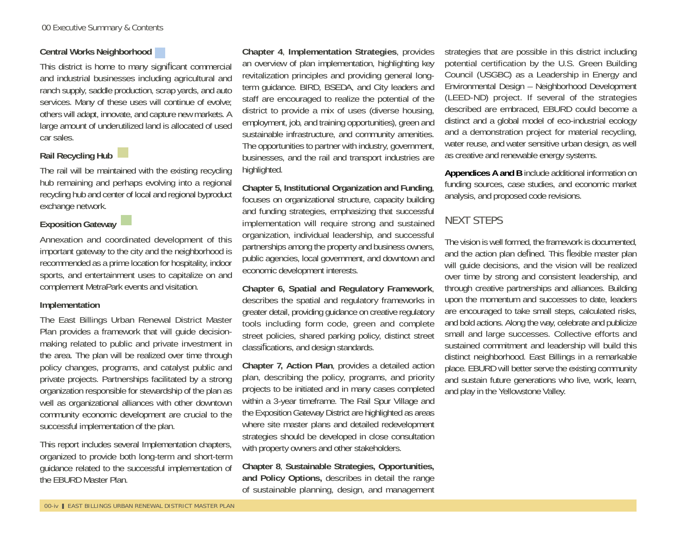#### **Central Works Neighborhood**

This district is home to many significant commercial and industrial businesses including agricultural and ranch supply, saddle production, scrap yards, and auto services. Many of these uses will continue of evolve; others will adapt, innovate, and capture new markets. A large amount of underutilized land is allocated of used car sales.

## **Rail Recycling Hub**

The rail will be maintained with the existing recycling hub remaining and perhaps evolving into a regional recycling hub and center of local and regional byproduct exchange network.

### **Exposition Gateway**

Annexation and coordinated development of this important gateway to the city and the neighborhood is recommended as a prime location for hospitality, indoor sports, and entertainment uses to capitalize on and complement MetraPark events and visitation.

#### **Implementation**

The East Billings Urban Renewal District Master Plan provides a framework that will guide decisionmaking related to public and private investment in the area. The plan will be realized over time through policy changes, programs, and catalyst public and private projects. Partnerships facilitated by a strong organization responsible for stewardship of the plan as well as organizational alliances with other downtown community economic development are crucial to the successful implementation of the plan.

This report includes several Implementation chapters, organized to provide both long-term and short-term guidance related to the successful implementation of the EBURD Master Plan.

**Chapter 4**, **Implementation Strategies**, provides an overview of plan implementation, highlighting key revitalization principles and providing general longterm guidance. BIRD, BSEDA, and City leaders and staff are encouraged to realize the potential of the district to provide a mix of uses (diverse housing, employment, job, and training opportunities), green and sustainable infrastructure, and community amenities. The opportunities to partner with industry, government, businesses, and the rail and transport industries are highlighted.

**Chapter 5, Institutional Organization and Funding**, focuses on organizational structure, capacity building and funding strategies, emphasizing that successful implementation will require strong and sustained organization, individual leadership, and successful partnerships among the property and business owners, public agencies, local government, and downtown and economic development interests.

**Chapter 6, Spatial and Regulatory Framework**, describes the spatial and regulatory frameworks in greater detail, providing guidance on creative regulatory tools including form code, green and complete street policies, shared parking policy, distinct street classi fi cations, and design standards.

**Chapter 7, Action Plan**, provides a detailed action plan, describing the policy, programs, and priority projects to be initiated and in many cases completed within a 3-year timeframe. The Rail Spur Village and the Exposition Gateway District are highlighted as areas where site master plans and detailed redevelopment strategies should be developed in close consultation with property owners and other stakeholders.

**Chapter 8**, **Sustainable Strategies, Opportunities, and Policy Options,** describes in detail the range of sustainable planning, design, and management strategies that are possible in this district including potential certification by the U.S. Green Building Council (USGBC) as a Leadership in Energy and Environmental Design – Neighborhood Development (LEED-ND) project. If several of the strategies described are embraced, EBURD could become a distinct and a global model of eco-industrial ecology and a demonstration project for material recycling, water reuse, and water sensitive urban design, as well as creative and renewable energy systems.

**Appendices A and B** include additional information on funding sources, case studies, and economic market analysis, and proposed code revisions.

## NEXT STEPS

The vision is well formed, the framework is documented, and the action plan defined. This flexible master plan will quide decisions, and the vision will be realized over time by strong and consistent leadership, and through creative partnerships and alliances. Building upon the momentum and successes to date, leaders are encouraged to take small steps, calculated risks, and bold actions. Along the way, celebrate and publicize small and large successes. Collective efforts and sustained commitment and leadership will build this distinct neighborhood. East Billings in a remarkable place. EBURD will better serve the existing community and sustain future generations who live, work, learn, and play in the Yellowstone Valley.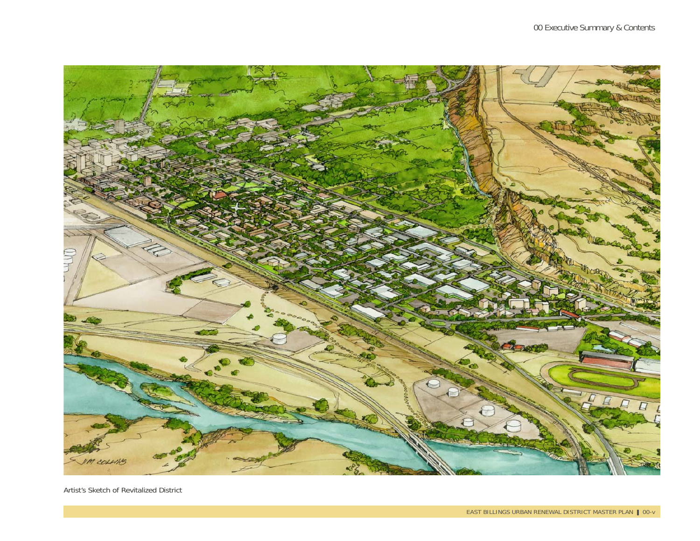

Artist's Sketch of Revitalized District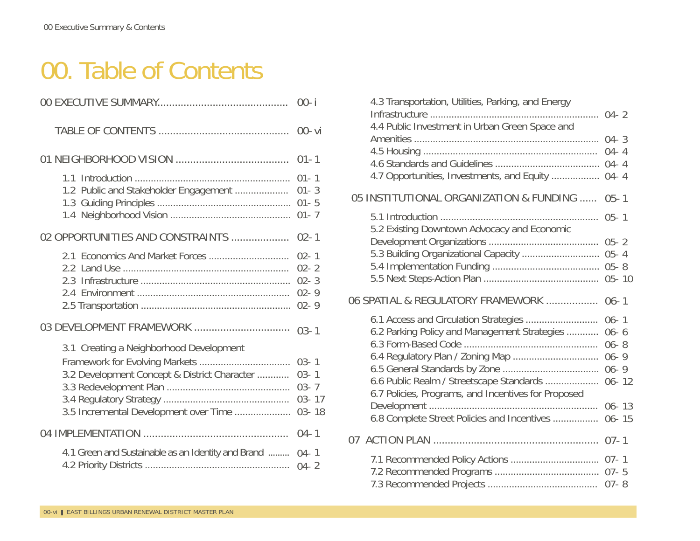# 00. Table of Contents

| 1.1<br>1.2 Public and Stakeholder Engagement<br>02 OPPORTUNITIES AND CONSTRAINTS<br>2.3<br>03 DEVELOPMENT FRAMEWORK<br>3.1 Creating a Neighborhood Development<br>3.2 Development Concept & District Character<br>3.5 Incremental Development over Time<br>4.1 Green and Sustainable as an Identity and Brand |                                                            |
|---------------------------------------------------------------------------------------------------------------------------------------------------------------------------------------------------------------------------------------------------------------------------------------------------------------|------------------------------------------------------------|
|                                                                                                                                                                                                                                                                                                               | $00 - vi$                                                  |
|                                                                                                                                                                                                                                                                                                               | $01 - 1$                                                   |
|                                                                                                                                                                                                                                                                                                               | $01 - 1$<br>$01 - 3$<br>$01 - 5$<br>$01 - 7$               |
|                                                                                                                                                                                                                                                                                                               | $02 - 1$                                                   |
|                                                                                                                                                                                                                                                                                                               | $02 - 1$<br>$02 - 2$<br>$02 - 3$<br>$02 - 9$<br>$02 - 9$   |
|                                                                                                                                                                                                                                                                                                               | $03 - 1$                                                   |
|                                                                                                                                                                                                                                                                                                               | $03 - 1$<br>$03 - 1$<br>$03 - 7$<br>$03 - 17$<br>$03 - 18$ |
|                                                                                                                                                                                                                                                                                                               | $04 - 1$                                                   |
|                                                                                                                                                                                                                                                                                                               | $04 - 1$                                                   |

| 4.3 Transportation, Utilities, Parking, and Energy<br>4.4 Public Investment in Urban Green Space and<br>4.7 Opportunities, Investments, and Equity  04- 4                                        | $04 - 3$<br>$04 - 4$                          |
|--------------------------------------------------------------------------------------------------------------------------------------------------------------------------------------------------|-----------------------------------------------|
| 05 INSTITUTIONAL ORGANIZATION & FUNDING                                                                                                                                                          | $05 - 1$                                      |
| 5.2 Existing Downtown Advocacy and Economic                                                                                                                                                      | $05 - 1$                                      |
| 5.3 Building Organizational Capacity  05- 4                                                                                                                                                      |                                               |
|                                                                                                                                                                                                  |                                               |
| 06 SPATIAL & REGULATORY FRAMEWORK                                                                                                                                                                | $06 - 1$                                      |
| 6.1 Access and Circulation Strategies<br>6.2 Parking Policy and Management Strategies<br>6.6 Public Realm / Streetscape Standards  06- 12<br>6.7 Policies, Programs, and Incentives for Proposed | $06 - 1$<br>$06 - 6$<br>$06 - 8$<br>$06 - 13$ |
| 6.8 Complete Street Policies and Incentives                                                                                                                                                      | $06 - 15$                                     |
|                                                                                                                                                                                                  |                                               |
|                                                                                                                                                                                                  |                                               |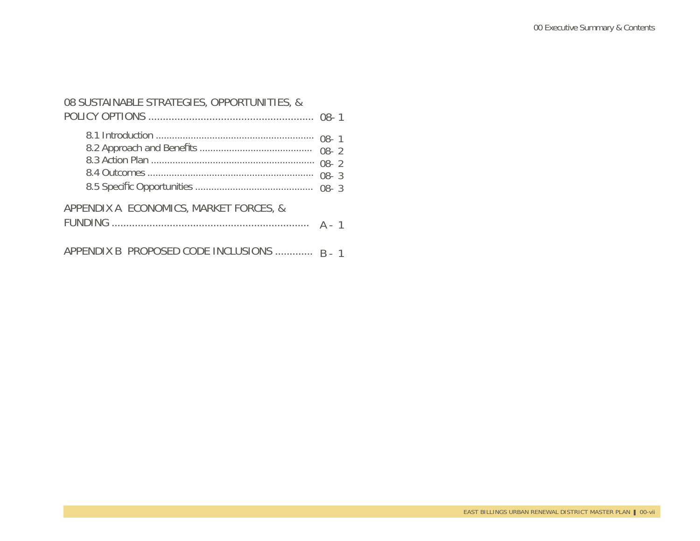| 08 SUSTAINABLE STRATEGIES, OPPORTUNITIES, & |                      |
|---------------------------------------------|----------------------|
|                                             | $08 - 2$<br>$08 - 3$ |
| APPENDIX A ECONOMICS, MARKET FORCES, &      |                      |
| APPENDIX B PROPOSED CODE INCLUSIONS  R - 1  |                      |